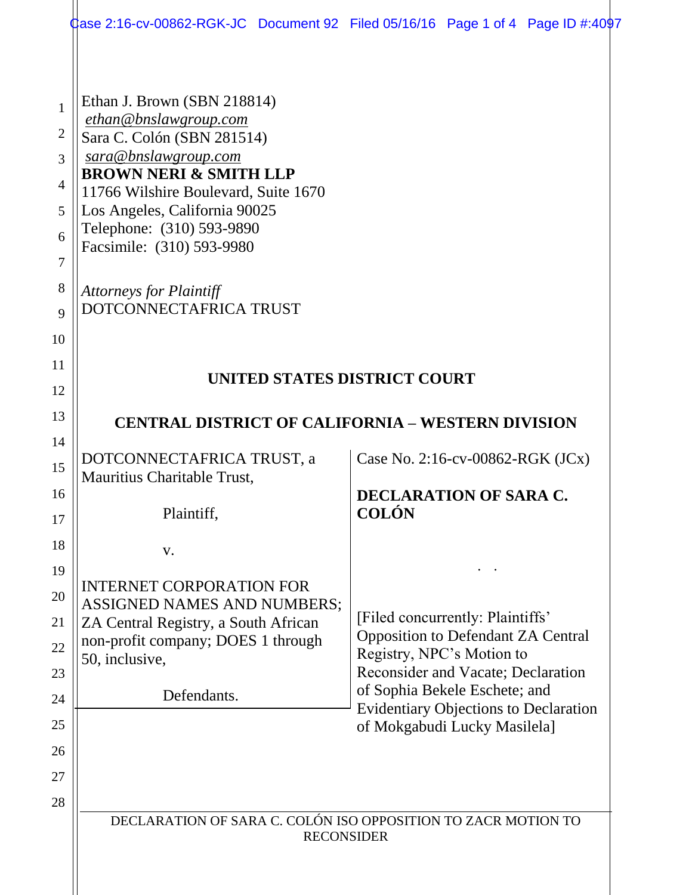|                                                                                          |                                                                           | dase 2:16-cv-00862-RGK-JC Document 92 Filed 05/16/16 Page 1 of 4 Page ID #:4097 |
|------------------------------------------------------------------------------------------|---------------------------------------------------------------------------|---------------------------------------------------------------------------------|
|                                                                                          |                                                                           |                                                                                 |
|                                                                                          | Ethan J. Brown (SBN 218814)<br>ethan@bnslawgroup.com                      |                                                                                 |
|                                                                                          | Sara C. Colón (SBN 281514)                                                |                                                                                 |
|                                                                                          | sara@bnslawgroup.com                                                      |                                                                                 |
|                                                                                          | <b>BROWN NERI &amp; SMITH LLP</b><br>11766 Wilshire Boulevard, Suite 1670 |                                                                                 |
|                                                                                          | Los Angeles, California 90025                                             |                                                                                 |
|                                                                                          | Telephone: (310) 593-9890                                                 |                                                                                 |
|                                                                                          | Facsimile: (310) 593-9980                                                 |                                                                                 |
|                                                                                          |                                                                           |                                                                                 |
|                                                                                          | <b>Attorneys for Plaintiff</b>                                            |                                                                                 |
|                                                                                          | DOTCONNECTAFRICA TRUST                                                    |                                                                                 |
|                                                                                          |                                                                           |                                                                                 |
|                                                                                          |                                                                           |                                                                                 |
| UNITED STATES DISTRICT COURT<br><b>CENTRAL DISTRICT OF CALIFORNIA – WESTERN DIVISION</b> |                                                                           |                                                                                 |
|                                                                                          |                                                                           |                                                                                 |
|                                                                                          | Mauritius Charitable Trust,                                               |                                                                                 |
|                                                                                          |                                                                           | <b>DECLARATION OF SARA C.</b>                                                   |
|                                                                                          | Plaintiff,                                                                | <b>COLÓN</b>                                                                    |
|                                                                                          |                                                                           |                                                                                 |
|                                                                                          | V.                                                                        |                                                                                 |
|                                                                                          | <b>INTERNET CORPORATION FOR</b>                                           |                                                                                 |
|                                                                                          | <b>ASSIGNED NAMES AND NUMBERS;</b>                                        |                                                                                 |
|                                                                                          | ZA Central Registry, a South African                                      | [Filed concurrently: Plaintiffs'<br><b>Opposition to Defendant ZA Central</b>   |
|                                                                                          | non-profit company; DOES 1 through<br>50, inclusive,                      | Registry, NPC's Motion to                                                       |
|                                                                                          |                                                                           | Reconsider and Vacate; Declaration                                              |
|                                                                                          | Defendants.                                                               | of Sophia Bekele Eschete; and                                                   |
|                                                                                          |                                                                           | <b>Evidentiary Objections to Declaration</b><br>of Mokgabudi Lucky Masilela]    |
|                                                                                          |                                                                           |                                                                                 |
|                                                                                          |                                                                           |                                                                                 |
|                                                                                          |                                                                           |                                                                                 |
| DECLARATION OF SARA C. COLÓN ISO OPPOSITION TO ZACR MOTION TO<br><b>RECONSIDER</b>       |                                                                           |                                                                                 |
|                                                                                          |                                                                           |                                                                                 |
|                                                                                          |                                                                           |                                                                                 |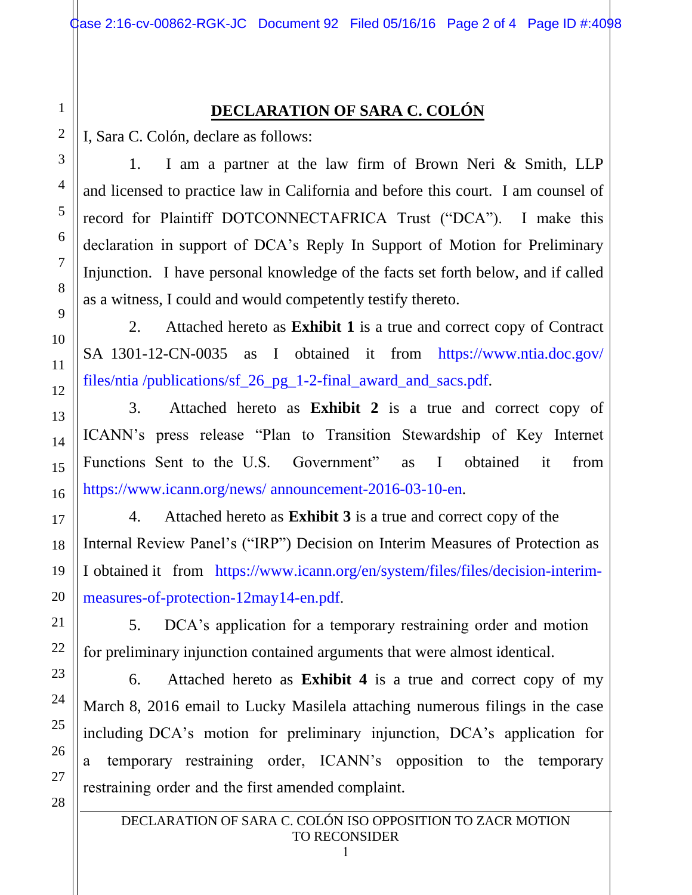## **DECLARATION OF SARA C. COLÓN**

I, Sara C. Colón, declare as follows:

1. I am a partner at the law firm of Brown Neri & Smith, LLP and licensed to practice law in California and before this court. I am counsel of record for Plaintiff DOTCONNECTAFRICA Trust ("DCA"). I make this declaration in support of DCA's Reply In Support of Motion for Preliminary Injunction. I have personal knowledge of the facts set forth below, and if called as a witness, I could and would competently testify thereto.

2. Attached hereto as **Exhibit 1** is a true and correct copy of Contract SA 1301-12-CN-0035 as I obtained it [from https://www.ntia.doc.gov/](https://www.ntia.doc.gov/files/ntia%0b/publications/sf_26_pg_1-2-final_award_and_sacs.pdf) [files/ntia /publications/sf\\_26\\_pg\\_1-2-final\\_award\\_and](https://www.ntia.doc.gov/files/ntia%0b/publications/sf_26_pg_1-2-final_award_and_sacs.pdf)\_sacs.pdf.

3. Attached hereto as **Exhibit 2** is a true and correct copy of ICANN's press release "Plan to Transition Stewardship of Key Internet Functions Sent to the U.S. Government" as I obtained it from [https://www.icann.org/news/ a](https://www.icann.org/news/%0bannouncement-2016-03-10-en)nnouncement-2016-03-10-en.

4. Attached hereto as **Exhibit 3** is a true and correct copy of the Internal Review Panel's ("IRP") Decision on Interim Measures of Protection as I obtained it from https://www.icann.org/en/system/files/files/decision-interimmeasures-of-protection-12may14-en.pdf.

5. DCA's application for a temporary restraining order and motion for preliminary injunction contained arguments that were almost identical.

6. Attached hereto as **Exhibit 4** is a true and correct copy of my March 8, 2016 email to Lucky Masilela attaching numerous filings in the case including DCA's motion for preliminary injunction, DCA's application for a temporary restraining order, ICANN's opposition to the temporary restraining order and the first amended complaint.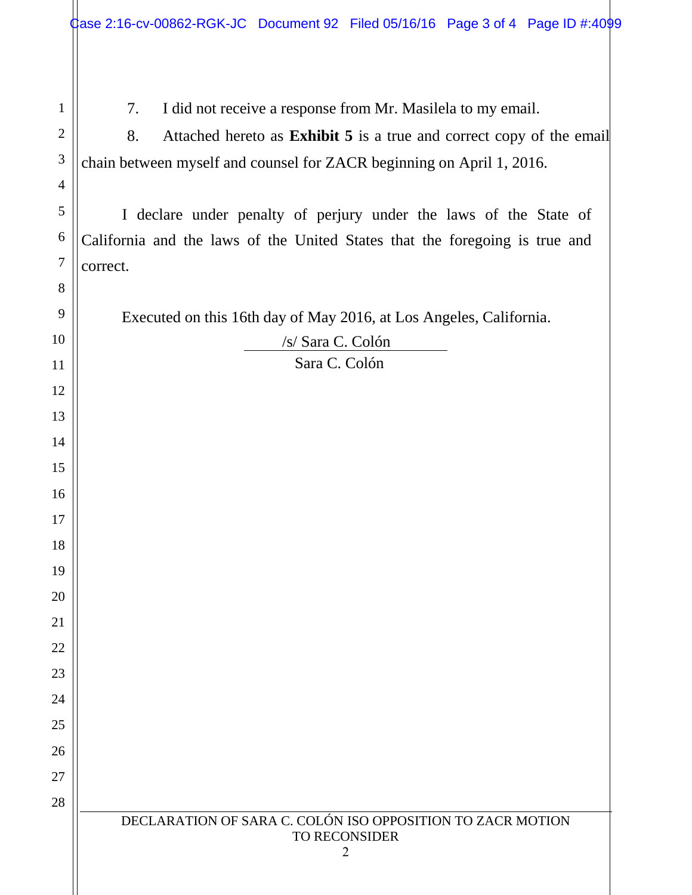7. I did not receive a response from Mr. Masilela to my email.

8. Attached hereto as **Exhibit 5** is a true and correct copy of the email chain between myself and counsel for ZACR beginning on April 1, 2016.

I declare under penalty of perjury under the laws of the State of California and the laws of the United States that the foregoing is true and correct.

Executed on this 16th day of May 2016, at Los Angeles, California.

/s/ Sara C. Colón Sara C. Colón